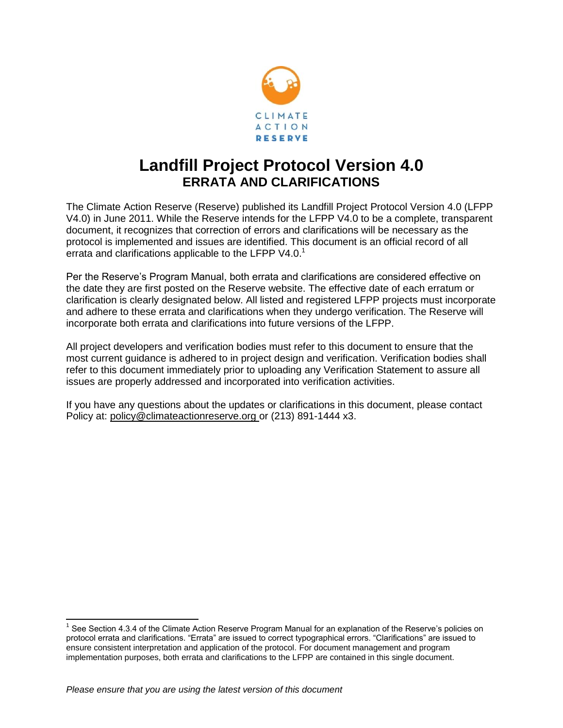

## **Landfill Project Protocol Version 4.0 ERRATA AND CLARIFICATIONS**

The Climate Action Reserve (Reserve) published its Landfill Project Protocol Version 4.0 (LFPP V4.0) in June 2011. While the Reserve intends for the LFPP V4.0 to be a complete, transparent document, it recognizes that correction of errors and clarifications will be necessary as the protocol is implemented and issues are identified. This document is an official record of all errata and clarifications applicable to the LFPP V4.0.<sup>1</sup>

Per the Reserve's Program Manual, both errata and clarifications are considered effective on the date they are first posted on the Reserve website. The effective date of each erratum or clarification is clearly designated below. All listed and registered LFPP projects must incorporate and adhere to these errata and clarifications when they undergo verification. The Reserve will incorporate both errata and clarifications into future versions of the LFPP.

All project developers and verification bodies must refer to this document to ensure that the most current guidance is adhered to in project design and verification. Verification bodies shall refer to this document immediately prior to uploading any Verification Statement to assure all issues are properly addressed and incorporated into verification activities.

If you have any questions about the updates or clarifications in this document, please contact Policy at: [policy@climateactionreserve.org](mailto:policy@climateactionreserve.org) or (213) 891-1444 x3.

 $\overline{a}$ 

<sup>&</sup>lt;sup>1</sup> See Section 4.3.4 of the Climate Action Reserve Program Manual for an explanation of the Reserve's policies on protocol errata and clarifications. "Errata" are issued to correct typographical errors. "Clarifications" are issued to ensure consistent interpretation and application of the protocol. For document management and program implementation purposes, both errata and clarifications to the LFPP are contained in this single document.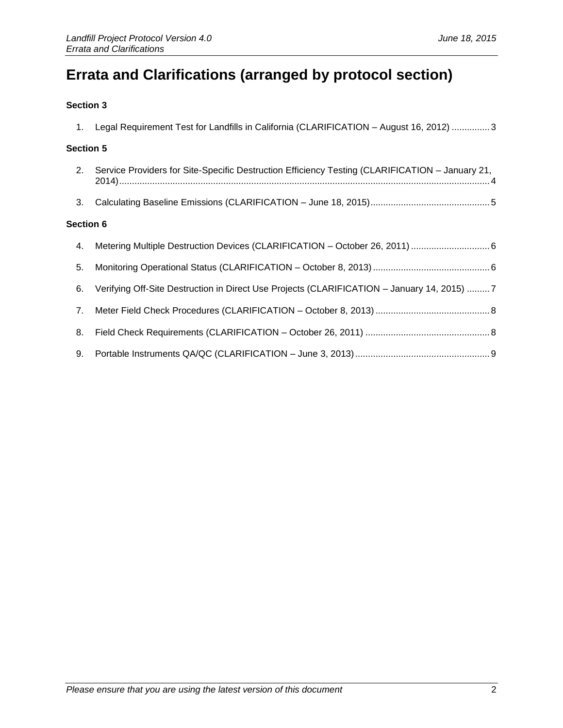# **Errata and Clarifications (arranged by protocol section)**

#### **[Section 3](#page-2-0)**

| 1.               | Legal Requirement Test for Landfills in California (CLARIFICATION - August 16, 2012)  3         |  |
|------------------|-------------------------------------------------------------------------------------------------|--|
| <b>Section 5</b> |                                                                                                 |  |
| 2.               | Service Providers for Site-Specific Destruction Efficiency Testing (CLARIFICATION - January 21, |  |
| 3.               |                                                                                                 |  |
| <b>Section 6</b> |                                                                                                 |  |
| 4.               |                                                                                                 |  |
| 5.               |                                                                                                 |  |
| 6.               | Verifying Off-Site Destruction in Direct Use Projects (CLARIFICATION - January 14, 2015) 7      |  |
| 7.               |                                                                                                 |  |
| 8.               |                                                                                                 |  |
| 9.               |                                                                                                 |  |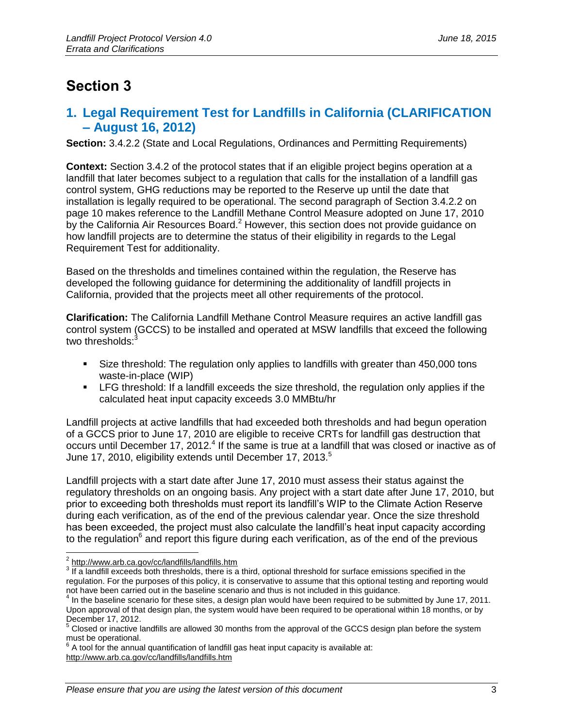### <span id="page-2-0"></span>**Section 3**

### <span id="page-2-1"></span>**1. Legal Requirement Test for Landfills in California (CLARIFICATION – August 16, 2012)**

**Section:** 3.4.2.2 (State and Local Regulations, Ordinances and Permitting Requirements)

**Context:** Section 3.4.2 of the protocol states that if an eligible project begins operation at a landfill that later becomes subject to a regulation that calls for the installation of a landfill gas control system, GHG reductions may be reported to the Reserve up until the date that installation is legally required to be operational. The second paragraph of Section 3.4.2.2 on page 10 makes reference to the Landfill Methane Control Measure adopted on June 17, 2010 by the California Air Resources Board.<sup>2</sup> However, this section does not provide guidance on how landfill projects are to determine the status of their eligibility in regards to the Legal Requirement Test for additionality.

Based on the thresholds and timelines contained within the regulation, the Reserve has developed the following guidance for determining the additionality of landfill projects in California, provided that the projects meet all other requirements of the protocol.

**Clarification:** The California Landfill Methane Control Measure requires an active landfill gas control system (GCCS) to be installed and operated at MSW landfills that exceed the following two thresholds:<sup>3</sup>

- Size threshold: The regulation only applies to landfills with greater than 450,000 tons waste-in-place (WIP)
- LFG threshold: If a landfill exceeds the size threshold, the regulation only applies if the calculated heat input capacity exceeds 3.0 MMBtu/hr

Landfill projects at active landfills that had exceeded both thresholds and had begun operation of a GCCS prior to June 17, 2010 are eligible to receive CRTs for landfill gas destruction that occurs until December 17, 2012.<sup>4</sup> If the same is true at a landfill that was closed or inactive as of June 17, 2010, eligibility extends until December 17, 2013.<sup>5</sup>

Landfill projects with a start date after June 17, 2010 must assess their status against the regulatory thresholds on an ongoing basis. Any project with a start date after June 17, 2010, but prior to exceeding both thresholds must report its landfill's WIP to the Climate Action Reserve during each verification, as of the end of the previous calendar year. Once the size threshold has been exceeded, the project must also calculate the landfill's heat input capacity according to the regulation<sup>6</sup> and report this figure during each verification, as of the end of the previous

<sup>&</sup>lt;u>2</u><br>2 <http://www.arb.ca.gov/cc/landfills/landfills.htm>

 $3\overline{16}$  If a landfill exceeds both thresholds, there is a third, optional threshold for surface emissions specified in the regulation. For the purposes of this policy, it is conservative to assume that this optional testing and reporting would not have been carried out in the baseline scenario and thus is not included in this guidance.

<sup>&</sup>lt;sup>4</sup> In the baseline scenario for these sites, a design plan would have been required to be submitted by June 17, 2011. Upon approval of that design plan, the system would have been required to be operational within 18 months, or by December 17, 2012.

<sup>5</sup> Closed or inactive landfills are allowed 30 months from the approval of the GCCS design plan before the system must be operational.

 $6$  A tool for the annual quantification of landfill gas heat input capacity is available at: <http://www.arb.ca.gov/cc/landfills/landfills.htm>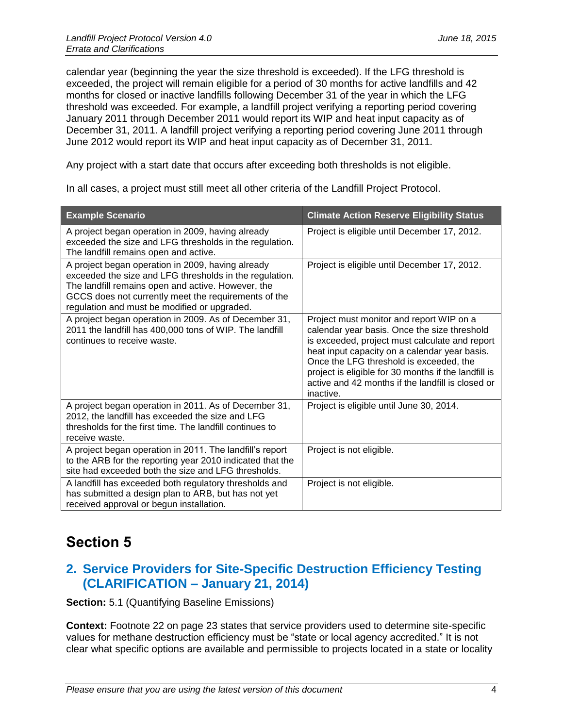calendar year (beginning the year the size threshold is exceeded). If the LFG threshold is exceeded, the project will remain eligible for a period of 30 months for active landfills and 42 months for closed or inactive landfills following December 31 of the year in which the LFG threshold was exceeded. For example, a landfill project verifying a reporting period covering January 2011 through December 2011 would report its WIP and heat input capacity as of December 31, 2011. A landfill project verifying a reporting period covering June 2011 through June 2012 would report its WIP and heat input capacity as of December 31, 2011.

Any project with a start date that occurs after exceeding both thresholds is not eligible.

In all cases, a project must still meet all other criteria of the Landfill Project Protocol.

| <b>Example Scenario</b>                                                                                                                                                                                                                                                    | <b>Climate Action Reserve Eligibility Status</b>                                                                                                                                                                                                                                                                                                                 |
|----------------------------------------------------------------------------------------------------------------------------------------------------------------------------------------------------------------------------------------------------------------------------|------------------------------------------------------------------------------------------------------------------------------------------------------------------------------------------------------------------------------------------------------------------------------------------------------------------------------------------------------------------|
| A project began operation in 2009, having already<br>exceeded the size and LFG thresholds in the regulation.<br>The landfill remains open and active.                                                                                                                      | Project is eligible until December 17, 2012.                                                                                                                                                                                                                                                                                                                     |
| A project began operation in 2009, having already<br>exceeded the size and LFG thresholds in the regulation.<br>The landfill remains open and active. However, the<br>GCCS does not currently meet the requirements of the<br>regulation and must be modified or upgraded. | Project is eligible until December 17, 2012.                                                                                                                                                                                                                                                                                                                     |
| A project began operation in 2009. As of December 31,<br>2011 the landfill has 400,000 tons of WIP. The landfill<br>continues to receive waste.                                                                                                                            | Project must monitor and report WIP on a<br>calendar year basis. Once the size threshold<br>is exceeded, project must calculate and report<br>heat input capacity on a calendar year basis.<br>Once the LFG threshold is exceeded, the<br>project is eligible for 30 months if the landfill is<br>active and 42 months if the landfill is closed or<br>inactive. |
| A project began operation in 2011. As of December 31,<br>2012, the landfill has exceeded the size and LFG<br>thresholds for the first time. The landfill continues to<br>receive waste.                                                                                    | Project is eligible until June 30, 2014.                                                                                                                                                                                                                                                                                                                         |
| A project began operation in 2011. The landfill's report<br>to the ARB for the reporting year 2010 indicated that the<br>site had exceeded both the size and LFG thresholds.                                                                                               | Project is not eligible.                                                                                                                                                                                                                                                                                                                                         |
| A landfill has exceeded both regulatory thresholds and<br>has submitted a design plan to ARB, but has not yet<br>received approval or begun installation.                                                                                                                  | Project is not eligible.                                                                                                                                                                                                                                                                                                                                         |

## <span id="page-3-0"></span>**Section 5**

### <span id="page-3-1"></span>**2. Service Providers for Site-Specific Destruction Efficiency Testing (CLARIFICATION – January 21, 2014)**

**Section:** 5.1 (Quantifying Baseline Emissions)

**Context:** Footnote 22 on page 23 states that service providers used to determine site-specific values for methane destruction efficiency must be "state or local agency accredited." It is not clear what specific options are available and permissible to projects located in a state or locality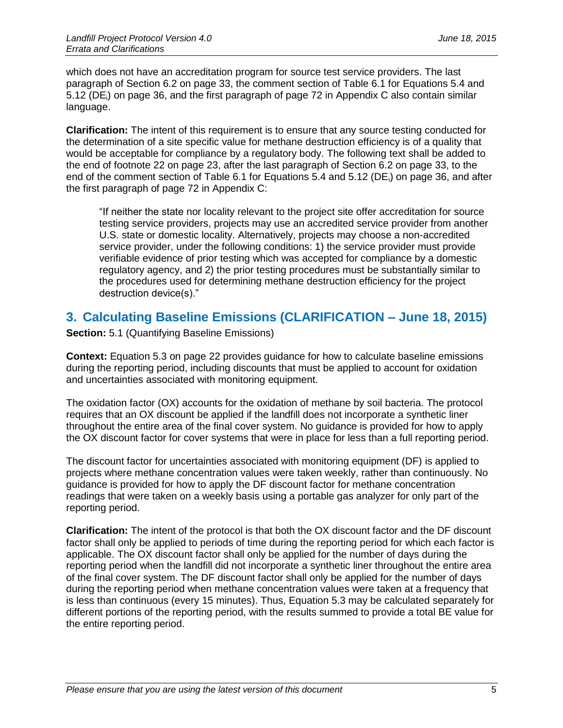which does not have an accreditation program for source test service providers. The last paragraph of Section 6.2 on page 33, the comment section of Table 6.1 for Equations 5.4 and 5.12 (DEi) on page 36, and the first paragraph of page 72 in Appendix C also contain similar language.

**Clarification:** The intent of this requirement is to ensure that any source testing conducted for the determination of a site specific value for methane destruction efficiency is of a quality that would be acceptable for compliance by a regulatory body. The following text shall be added to the end of footnote 22 on page 23, after the last paragraph of Section 6.2 on page 33, to the end of the comment section of Table 6.1 for Equations 5.4 and 5.12 ( $DE_i$ ) on page 36, and after the first paragraph of page 72 in Appendix C:

"If neither the state nor locality relevant to the project site offer accreditation for source testing service providers, projects may use an accredited service provider from another U.S. state or domestic locality. Alternatively, projects may choose a non-accredited service provider, under the following conditions: 1) the service provider must provide verifiable evidence of prior testing which was accepted for compliance by a domestic regulatory agency, and 2) the prior testing procedures must be substantially similar to the procedures used for determining methane destruction efficiency for the project destruction device(s)."

### <span id="page-4-0"></span>**3. Calculating Baseline Emissions (CLARIFICATION – June 18, 2015)**

**Section:** 5.1 (Quantifying Baseline Emissions)

**Context:** Equation 5.3 on page 22 provides guidance for how to calculate baseline emissions during the reporting period, including discounts that must be applied to account for oxidation and uncertainties associated with monitoring equipment.

The oxidation factor (OX) accounts for the oxidation of methane by soil bacteria. The protocol requires that an OX discount be applied if the landfill does not incorporate a synthetic liner throughout the entire area of the final cover system. No guidance is provided for how to apply the OX discount factor for cover systems that were in place for less than a full reporting period.

The discount factor for uncertainties associated with monitoring equipment (DF) is applied to projects where methane concentration values were taken weekly, rather than continuously. No guidance is provided for how to apply the DF discount factor for methane concentration readings that were taken on a weekly basis using a portable gas analyzer for only part of the reporting period.

**Clarification:** The intent of the protocol is that both the OX discount factor and the DF discount factor shall only be applied to periods of time during the reporting period for which each factor is applicable. The OX discount factor shall only be applied for the number of days during the reporting period when the landfill did not incorporate a synthetic liner throughout the entire area of the final cover system. The DF discount factor shall only be applied for the number of days during the reporting period when methane concentration values were taken at a frequency that is less than continuous (every 15 minutes). Thus, Equation 5.3 may be calculated separately for different portions of the reporting period, with the results summed to provide a total BE value for the entire reporting period.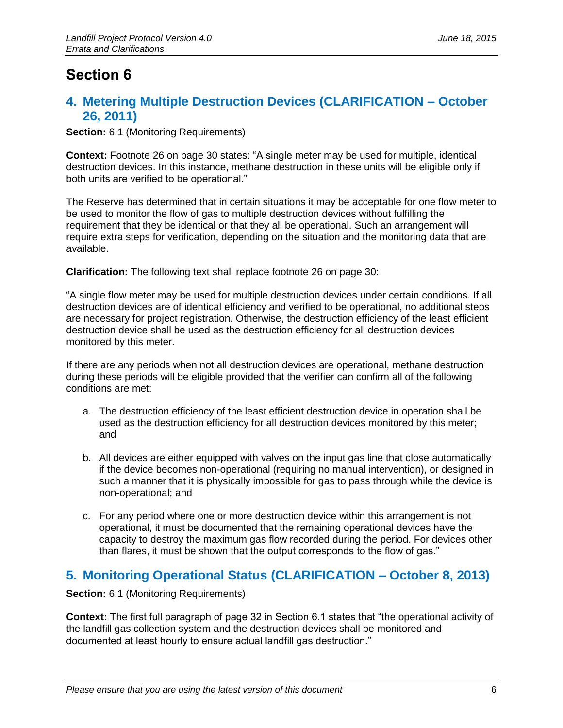## <span id="page-5-0"></span>**Section 6**

### <span id="page-5-1"></span>**4. Metering Multiple Destruction Devices (CLARIFICATION – October 26, 2011)**

**Section:** 6.1 (Monitoring Requirements)

**Context:** Footnote 26 on page 30 states: "A single meter may be used for multiple, identical destruction devices. In this instance, methane destruction in these units will be eligible only if both units are verified to be operational."

The Reserve has determined that in certain situations it may be acceptable for one flow meter to be used to monitor the flow of gas to multiple destruction devices without fulfilling the requirement that they be identical or that they all be operational. Such an arrangement will require extra steps for verification, depending on the situation and the monitoring data that are available.

**Clarification:** The following text shall replace footnote 26 on page 30:

"A single flow meter may be used for multiple destruction devices under certain conditions. If all destruction devices are of identical efficiency and verified to be operational, no additional steps are necessary for project registration. Otherwise, the destruction efficiency of the least efficient destruction device shall be used as the destruction efficiency for all destruction devices monitored by this meter.

If there are any periods when not all destruction devices are operational, methane destruction during these periods will be eligible provided that the verifier can confirm all of the following conditions are met:

- a. The destruction efficiency of the least efficient destruction device in operation shall be used as the destruction efficiency for all destruction devices monitored by this meter; and
- b. All devices are either equipped with valves on the input gas line that close automatically if the device becomes non-operational (requiring no manual intervention), or designed in such a manner that it is physically impossible for gas to pass through while the device is non-operational; and
- c. For any period where one or more destruction device within this arrangement is not operational, it must be documented that the remaining operational devices have the capacity to destroy the maximum gas flow recorded during the period. For devices other than flares, it must be shown that the output corresponds to the flow of gas."

### <span id="page-5-2"></span>**5. Monitoring Operational Status (CLARIFICATION – October 8, 2013)**

**Section:** 6.1 (Monitoring Requirements)

**Context:** The first full paragraph of page 32 in Section 6.1 states that "the operational activity of the landfill gas collection system and the destruction devices shall be monitored and documented at least hourly to ensure actual landfill gas destruction."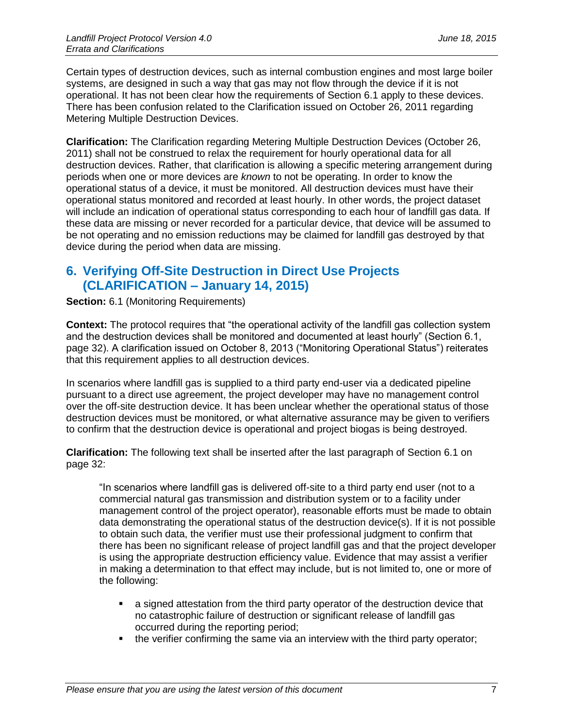Certain types of destruction devices, such as internal combustion engines and most large boiler systems, are designed in such a way that gas may not flow through the device if it is not operational. It has not been clear how the requirements of Section 6.1 apply to these devices. There has been confusion related to the Clarification issued on October 26, 2011 regarding Metering Multiple Destruction Devices.

**Clarification:** The Clarification regarding Metering Multiple Destruction Devices (October 26, 2011) shall not be construed to relax the requirement for hourly operational data for all destruction devices. Rather, that clarification is allowing a specific metering arrangement during periods when one or more devices are *known* to not be operating. In order to know the operational status of a device, it must be monitored. All destruction devices must have their operational status monitored and recorded at least hourly. In other words, the project dataset will include an indication of operational status corresponding to each hour of landfill gas data. If these data are missing or never recorded for a particular device, that device will be assumed to be not operating and no emission reductions may be claimed for landfill gas destroyed by that device during the period when data are missing.

#### <span id="page-6-0"></span>**6. Verifying Off-Site Destruction in Direct Use Projects (CLARIFICATION – January 14, 2015)**

**Section:** 6.1 (Monitoring Requirements)

**Context:** The protocol requires that "the operational activity of the landfill gas collection system and the destruction devices shall be monitored and documented at least hourly" (Section 6.1, page 32). A clarification issued on October 8, 2013 ("Monitoring Operational Status") reiterates that this requirement applies to all destruction devices.

In scenarios where landfill gas is supplied to a third party end-user via a dedicated pipeline pursuant to a direct use agreement, the project developer may have no management control over the off-site destruction device. It has been unclear whether the operational status of those destruction devices must be monitored, or what alternative assurance may be given to verifiers to confirm that the destruction device is operational and project biogas is being destroyed.

**Clarification:** The following text shall be inserted after the last paragraph of Section 6.1 on page 32:

"In scenarios where landfill gas is delivered off-site to a third party end user (not to a commercial natural gas transmission and distribution system or to a facility under management control of the project operator), reasonable efforts must be made to obtain data demonstrating the operational status of the destruction device(s). If it is not possible to obtain such data, the verifier must use their professional judgment to confirm that there has been no significant release of project landfill gas and that the project developer is using the appropriate destruction efficiency value. Evidence that may assist a verifier in making a determination to that effect may include, but is not limited to, one or more of the following:

- a signed attestation from the third party operator of the destruction device that no catastrophic failure of destruction or significant release of landfill gas occurred during the reporting period;
- the verifier confirming the same via an interview with the third party operator;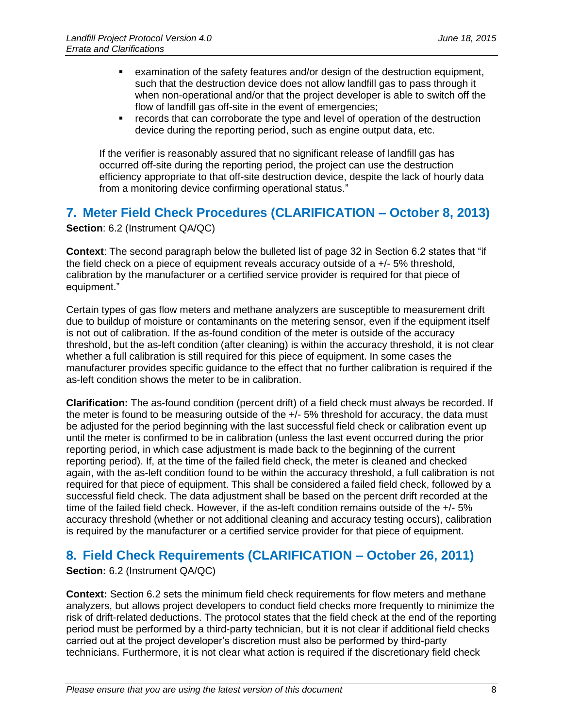- examination of the safety features and/or design of the destruction equipment, such that the destruction device does not allow landfill gas to pass through it when non-operational and/or that the project developer is able to switch off the flow of landfill gas off-site in the event of emergencies;
- records that can corroborate the type and level of operation of the destruction device during the reporting period, such as engine output data, etc.

If the verifier is reasonably assured that no significant release of landfill gas has occurred off-site during the reporting period, the project can use the destruction efficiency appropriate to that off-site destruction device, despite the lack of hourly data from a monitoring device confirming operational status."

#### <span id="page-7-0"></span>**7. Meter Field Check Procedures (CLARIFICATION – October 8, 2013)**

#### **Section**: 6.2 (Instrument QA/QC)

**Context**: The second paragraph below the bulleted list of page 32 in Section 6.2 states that "if the field check on a piece of equipment reveals accuracy outside of a  $+/-5%$  threshold, calibration by the manufacturer or a certified service provider is required for that piece of equipment."

Certain types of gas flow meters and methane analyzers are susceptible to measurement drift due to buildup of moisture or contaminants on the metering sensor, even if the equipment itself is not out of calibration. If the as-found condition of the meter is outside of the accuracy threshold, but the as-left condition (after cleaning) is within the accuracy threshold, it is not clear whether a full calibration is still required for this piece of equipment. In some cases the manufacturer provides specific guidance to the effect that no further calibration is required if the as-left condition shows the meter to be in calibration.

**Clarification:** The as-found condition (percent drift) of a field check must always be recorded. If the meter is found to be measuring outside of the +/- 5% threshold for accuracy, the data must be adjusted for the period beginning with the last successful field check or calibration event up until the meter is confirmed to be in calibration (unless the last event occurred during the prior reporting period, in which case adjustment is made back to the beginning of the current reporting period). If, at the time of the failed field check, the meter is cleaned and checked again, with the as-left condition found to be within the accuracy threshold, a full calibration is not required for that piece of equipment. This shall be considered a failed field check, followed by a successful field check. The data adjustment shall be based on the percent drift recorded at the time of the failed field check. However, if the as-left condition remains outside of the +/- 5% accuracy threshold (whether or not additional cleaning and accuracy testing occurs), calibration is required by the manufacturer or a certified service provider for that piece of equipment.

### <span id="page-7-1"></span>**8. Field Check Requirements (CLARIFICATION – October 26, 2011)**

#### **Section:** 6.2 (Instrument QA/QC)

**Context:** Section 6.2 sets the minimum field check requirements for flow meters and methane analyzers, but allows project developers to conduct field checks more frequently to minimize the risk of drift-related deductions. The protocol states that the field check at the end of the reporting period must be performed by a third-party technician, but it is not clear if additional field checks carried out at the project developer's discretion must also be performed by third-party technicians. Furthermore, it is not clear what action is required if the discretionary field check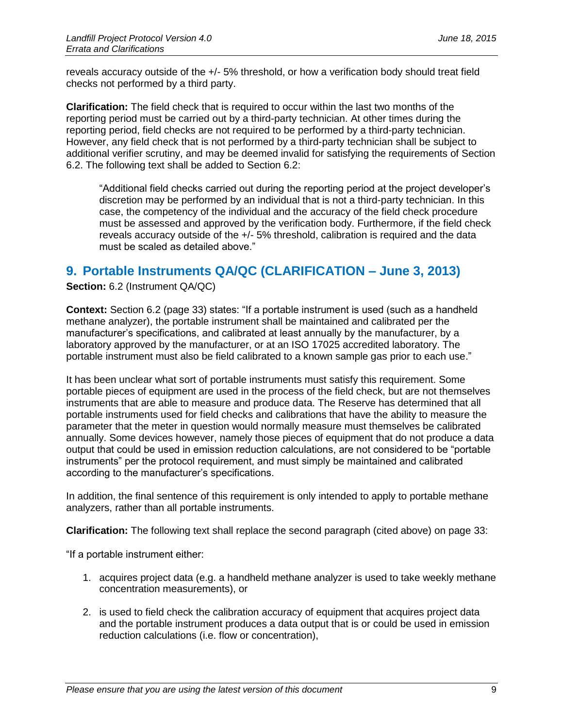reveals accuracy outside of the +/- 5% threshold, or how a verification body should treat field checks not performed by a third party.

**Clarification:** The field check that is required to occur within the last two months of the reporting period must be carried out by a third-party technician. At other times during the reporting period, field checks are not required to be performed by a third-party technician. However, any field check that is not performed by a third-party technician shall be subject to additional verifier scrutiny, and may be deemed invalid for satisfying the requirements of Section 6.2. The following text shall be added to Section 6.2:

"Additional field checks carried out during the reporting period at the project developer's discretion may be performed by an individual that is not a third-party technician. In this case, the competency of the individual and the accuracy of the field check procedure must be assessed and approved by the verification body. Furthermore, if the field check reveals accuracy outside of the +/- 5% threshold, calibration is required and the data must be scaled as detailed above."

#### <span id="page-8-0"></span>**9. Portable Instruments QA/QC (CLARIFICATION – June 3, 2013)**

**Section:** 6.2 (Instrument QA/QC)

**Context:** Section 6.2 (page 33) states: "If a portable instrument is used (such as a handheld methane analyzer), the portable instrument shall be maintained and calibrated per the manufacturer's specifications, and calibrated at least annually by the manufacturer, by a laboratory approved by the manufacturer, or at an ISO 17025 accredited laboratory. The portable instrument must also be field calibrated to a known sample gas prior to each use."

It has been unclear what sort of portable instruments must satisfy this requirement. Some portable pieces of equipment are used in the process of the field check, but are not themselves instruments that are able to measure and produce data. The Reserve has determined that all portable instruments used for field checks and calibrations that have the ability to measure the parameter that the meter in question would normally measure must themselves be calibrated annually. Some devices however, namely those pieces of equipment that do not produce a data output that could be used in emission reduction calculations, are not considered to be "portable instruments" per the protocol requirement, and must simply be maintained and calibrated according to the manufacturer's specifications.

In addition, the final sentence of this requirement is only intended to apply to portable methane analyzers, rather than all portable instruments.

**Clarification:** The following text shall replace the second paragraph (cited above) on page 33:

"If a portable instrument either:

- 1. acquires project data (e.g. a handheld methane analyzer is used to take weekly methane concentration measurements), or
- 2. is used to field check the calibration accuracy of equipment that acquires project data and the portable instrument produces a data output that is or could be used in emission reduction calculations (i.e. flow or concentration),